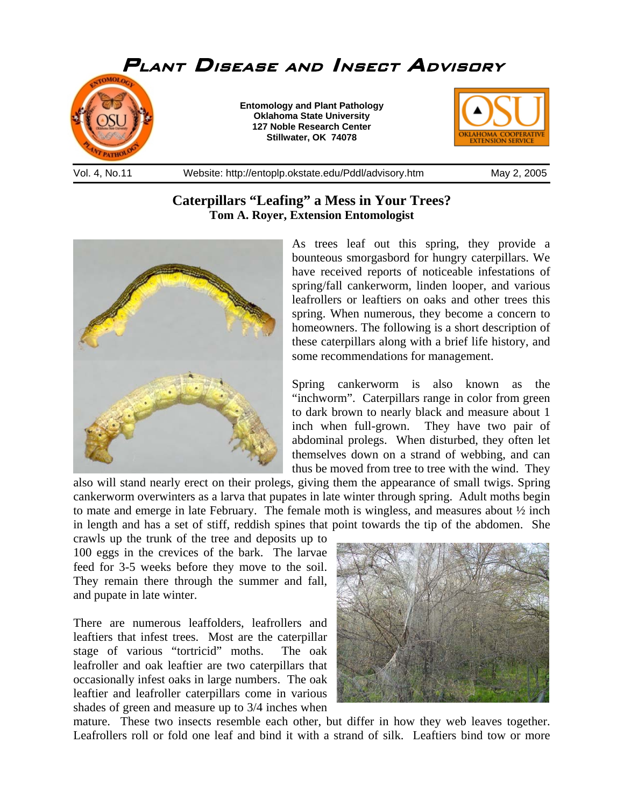

## **Caterpillars "Leafing" a Mess in Your Trees? Tom A. Royer, Extension Entomologist**



As trees leaf out this spring, they provide a bounteous smorgasbord for hungry caterpillars. We have received reports of noticeable infestations of spring/fall cankerworm, linden looper, and various leafrollers or leaftiers on oaks and other trees this spring. When numerous, they become a concern to homeowners. The following is a short description of these caterpillars along with a brief life history, and some recommendations for management.

Spring cankerworm is also known as the "inchworm". Caterpillars range in color from green to dark brown to nearly black and measure about 1 inch when full-grown. They have two pair of abdominal prolegs. When disturbed, they often let themselves down on a strand of webbing, and can thus be moved from tree to tree with the wind. They

also will stand nearly erect on their prolegs, giving them the appearance of small twigs. Spring cankerworm overwinters as a larva that pupates in late winter through spring. Adult moths begin to mate and emerge in late February. The female moth is wingless, and measures about ½ inch in length and has a set of stiff, reddish spines that point towards the tip of the abdomen. She

crawls up the trunk of the tree and deposits up to 100 eggs in the crevices of the bark. The larvae feed for 3-5 weeks before they move to the soil. They remain there through the summer and fall, and pupate in late winter.

There are numerous leaffolders, leafrollers and leaftiers that infest trees. Most are the caterpillar stage of various "tortricid" moths. The oak leafroller and oak leaftier are two caterpillars that occasionally infest oaks in large numbers. The oak leaftier and leafroller caterpillars come in various shades of green and measure up to 3/4 inches when



mature. These two insects resemble each other, but differ in how they web leaves together. Leafrollers roll or fold one leaf and bind it with a strand of silk. Leaftiers bind tow or more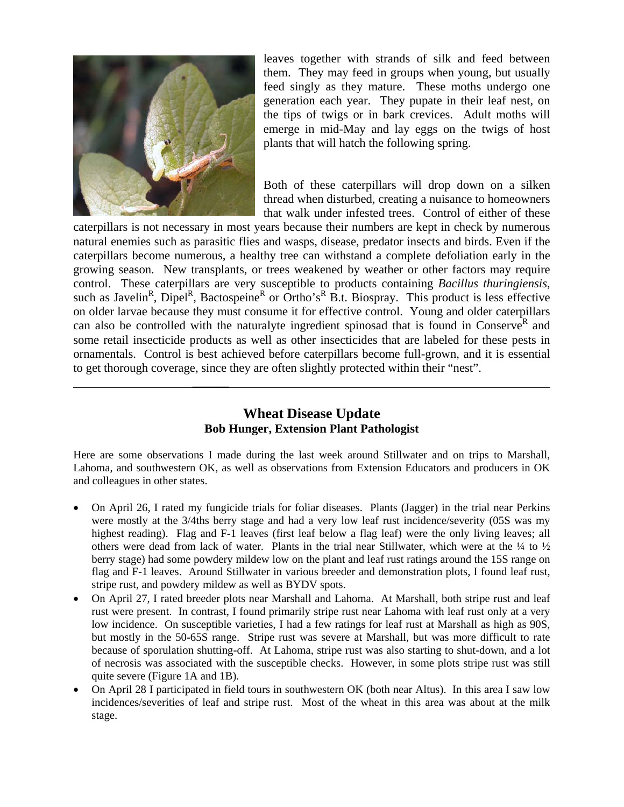

 $\mathcal{L}=\mathcal{L}=\mathcal{L}=\mathcal{L}=\mathcal{L}=\mathcal{L}=\mathcal{L}=\mathcal{L}=\mathcal{L}=\mathcal{L}=\mathcal{L}=\mathcal{L}=\mathcal{L}=\mathcal{L}=\mathcal{L}=\mathcal{L}=\mathcal{L}=\mathcal{L}=\mathcal{L}=\mathcal{L}=\mathcal{L}=\mathcal{L}=\mathcal{L}=\mathcal{L}=\mathcal{L}=\mathcal{L}=\mathcal{L}=\mathcal{L}=\mathcal{L}=\mathcal{L}=\mathcal{L}=\mathcal{L}=\mathcal{L}=\mathcal{L}=\mathcal{L}=\mathcal{L}=\mathcal{$ 

leaves together with strands of silk and feed between them. They may feed in groups when young, but usually feed singly as they mature. These moths undergo one generation each year. They pupate in their leaf nest, on the tips of twigs or in bark crevices. Adult moths will emerge in mid-May and lay eggs on the twigs of host plants that will hatch the following spring.

Both of these caterpillars will drop down on a silken thread when disturbed, creating a nuisance to homeowners that walk under infested trees. Control of either of these

caterpillars is not necessary in most years because their numbers are kept in check by numerous natural enemies such as parasitic flies and wasps, disease, predator insects and birds. Even if the caterpillars become numerous, a healthy tree can withstand a complete defoliation early in the growing season. New transplants, or trees weakened by weather or other factors may require control. These caterpillars are very susceptible to products containing *Bacillus thuringiensis*, such as Javelin<sup>R</sup>, Dipel<sup>R</sup>, Bactospeine<sup>R</sup> or Ortho's<sup>R</sup> B.t. Biospray. This product is less effective on older larvae because they must consume it for effective control. Young and older caterpillars can also be controlled with the naturalyte ingredient spinosad that is found in Conserve<sup>R</sup> and some retail insecticide products as well as other insecticides that are labeled for these pests in ornamentals. Control is best achieved before caterpillars become full-grown, and it is essential to get thorough coverage, since they are often slightly protected within their "nest".

## **Wheat Disease Update Bob Hunger, Extension Plant Pathologist**

Here are some observations I made during the last week around Stillwater and on trips to Marshall, Lahoma, and southwestern OK, as well as observations from Extension Educators and producers in OK and colleagues in other states.

- On April 26, I rated my fungicide trials for foliar diseases. Plants (Jagger) in the trial near Perkins were mostly at the 3/4ths berry stage and had a very low leaf rust incidence/severity (05S was my highest reading). Flag and F-1 leaves (first leaf below a flag leaf) were the only living leaves; all others were dead from lack of water. Plants in the trial near Stillwater, which were at the  $\frac{1}{4}$  to  $\frac{1}{2}$ berry stage) had some powdery mildew low on the plant and leaf rust ratings around the 15S range on flag and F-1 leaves. Around Stillwater in various breeder and demonstration plots, I found leaf rust, stripe rust, and powdery mildew as well as BYDV spots.
- On April 27, I rated breeder plots near Marshall and Lahoma. At Marshall, both stripe rust and leaf rust were present. In contrast, I found primarily stripe rust near Lahoma with leaf rust only at a very low incidence. On susceptible varieties, I had a few ratings for leaf rust at Marshall as high as 90S, but mostly in the 50-65S range. Stripe rust was severe at Marshall, but was more difficult to rate because of sporulation shutting-off. At Lahoma, stripe rust was also starting to shut-down, and a lot of necrosis was associated with the susceptible checks. However, in some plots stripe rust was still quite severe (Figure 1A and 1B).
- On April 28 I participated in field tours in southwestern OK (both near Altus). In this area I saw low incidences/severities of leaf and stripe rust. Most of the wheat in this area was about at the milk stage.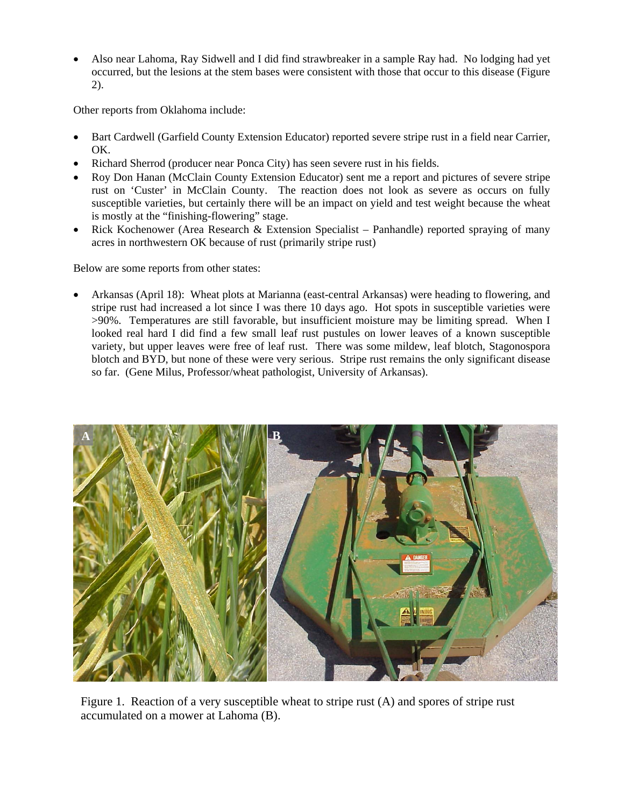• Also near Lahoma, Ray Sidwell and I did find strawbreaker in a sample Ray had. No lodging had yet occurred, but the lesions at the stem bases were consistent with those that occur to this disease (Figure 2).

Other reports from Oklahoma include:

- Bart Cardwell (Garfield County Extension Educator) reported severe stripe rust in a field near Carrier, OK.
- Richard Sherrod (producer near Ponca City) has seen severe rust in his fields.
- Roy Don Hanan (McClain County Extension Educator) sent me a report and pictures of severe stripe rust on 'Custer' in McClain County. The reaction does not look as severe as occurs on fully susceptible varieties, but certainly there will be an impact on yield and test weight because the wheat is mostly at the "finishing-flowering" stage.
- Rick Kochenower (Area Research & Extension Specialist Panhandle) reported spraying of many acres in northwestern OK because of rust (primarily stripe rust)

Below are some reports from other states:

• Arkansas (April 18): Wheat plots at Marianna (east-central Arkansas) were heading to flowering, and stripe rust had increased a lot since I was there 10 days ago. Hot spots in susceptible varieties were >90%. Temperatures are still favorable, but insufficient moisture may be limiting spread. When I looked real hard I did find a few small leaf rust pustules on lower leaves of a known susceptible variety, but upper leaves were free of leaf rust. There was some mildew, leaf blotch, Stagonospora blotch and BYD, but none of these were very serious. Stripe rust remains the only significant disease so far. (Gene Milus, Professor/wheat pathologist, University of Arkansas).



Figure 1. Reaction of a very susceptible wheat to stripe rust (A) and spores of stripe rust accumulated on a mower at Lahoma (B).